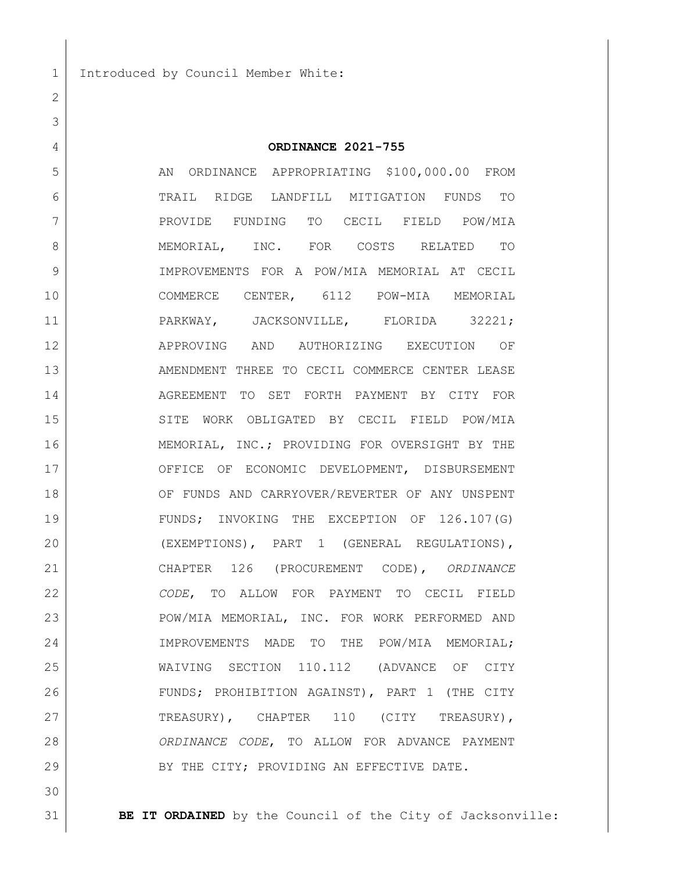**ORDINANCE 2021-755**

5 AN ORDINANCE APPROPRIATING \$100,000.00 FROM TRAIL RIDGE LANDFILL MITIGATION FUNDS TO PROVIDE FUNDING TO CECIL FIELD POW/MIA 8 | MEMORIAL, INC. FOR COSTS RELATED TO IMPROVEMENTS FOR A POW/MIA MEMORIAL AT CECIL COMMERCE CENTER, 6112 POW-MIA MEMORIAL 11 | PARKWAY, JACKSONVILLE, FLORIDA 32221; APPROVING AND AUTHORIZING EXECUTION OF 13 AMENDMENT THREE TO CECIL COMMERCE CENTER LEASE AGREEMENT TO SET FORTH PAYMENT BY CITY FOR SITE WORK OBLIGATED BY CECIL FIELD POW/MIA 16 MEMORIAL, INC.; PROVIDING FOR OVERSIGHT BY THE 17 OFFICE OF ECONOMIC DEVELOPMENT, DISBURSEMENT OF FUNDS AND CARRYOVER/REVERTER OF ANY UNSPENT FUNDS; INVOKING THE EXCEPTION OF 126.107(G) (EXEMPTIONS), PART 1 (GENERAL REGULATIONS), CHAPTER 126 (PROCUREMENT CODE), *ORDINANCE CODE*, TO ALLOW FOR PAYMENT TO CECIL FIELD POW/MIA MEMORIAL, INC. FOR WORK PERFORMED AND IMPROVEMENTS MADE TO THE POW/MIA MEMORIAL; WAIVING SECTION 110.112 (ADVANCE OF CITY FUNDS; PROHIBITION AGAINST), PART 1 (THE CITY 27 TREASURY), CHAPTER 110 (CITY TREASURY), *ORDINANCE CODE*, TO ALLOW FOR ADVANCE PAYMENT 29 BY THE CITY; PROVIDING AN EFFECTIVE DATE.

**BE IT ORDAINED** by the Council of the City of Jacksonville: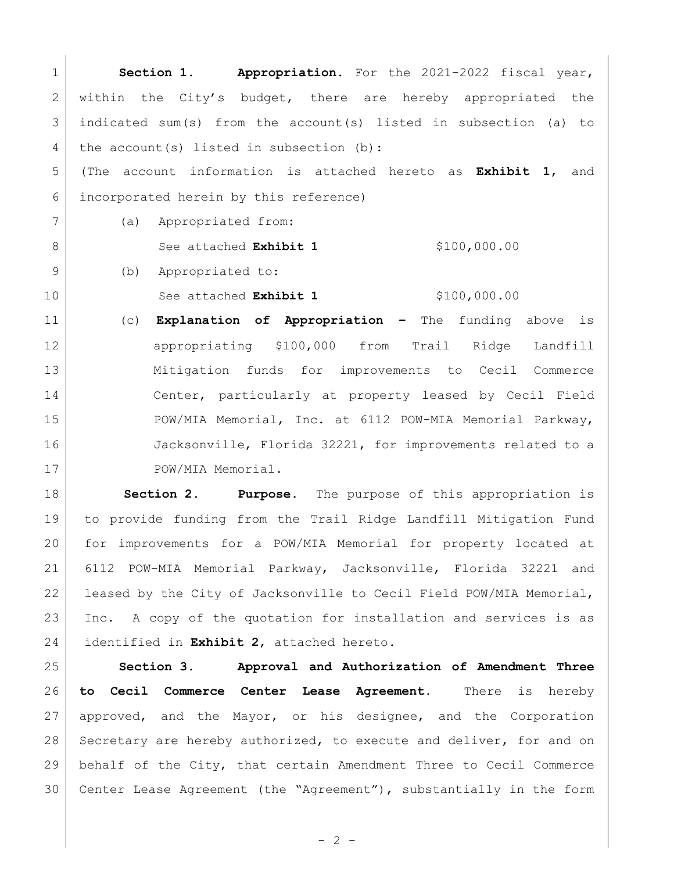1 **Section 1. Appropriation.** For the 2021-2022 fiscal year, 2 within the City's budget, there are hereby appropriated the 3 indicated sum(s) from the account(s) listed in subsection (a) to 4 the account(s) listed in subsection (b): 5 (The account information is attached hereto as **Exhibit 1**, and 6 incorporated herein by this reference) 7 (a) Appropriated from: 8 See attached **Exhibit 1** \$100,000.00 9 (b) Appropriated to: 10 See attached **Exhibit 1** \$100,000.00 11 (c) **Explanation of Appropriation –** The funding above is 12 | appropriating \$100,000 from Trail Ridge Landfill 13 Mitigation funds for improvements to Cecil Commerce 14 | Center, particularly at property leased by Cecil Field 15 POW/MIA Memorial, Inc. at 6112 POW-MIA Memorial Parkway, 16 Jacksonville, Florida 32221, for improvements related to a 17 POW/MIA Memorial.

 **Section 2**. **Purpose.** The purpose of this appropriation is to provide funding from the Trail Ridge Landfill Mitigation Fund for improvements for a POW/MIA Memorial for property located at 6112 POW-MIA Memorial Parkway, Jacksonville, Florida 32221 and 22 | leased by the City of Jacksonville to Cecil Field POW/MIA Memorial, 23 Inc. A copy of the quotation for installation and services is as identified in **Exhibit 2**, attached hereto.

 **Section 3. Approval and Authorization of Amendment Three to Cecil Commerce Center Lease Agreement.** There is hereby 27 approved, and the Mayor, or his designee, and the Corporation 28 Secretary are hereby authorized, to execute and deliver, for and on behalf of the City, that certain Amendment Three to Cecil Commerce Center Lease Agreement (the "Agreement"), substantially in the form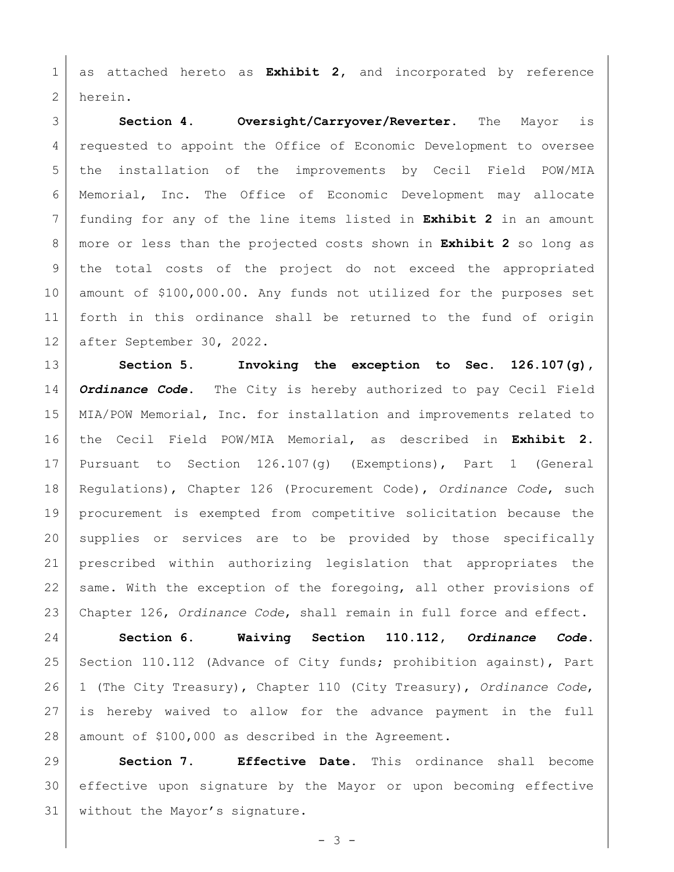as attached hereto as **Exhibit 2,** and incorporated by reference herein.

 **Section 4. Oversight/Carryover/Reverter.** The Mayor is 4 requested to appoint the Office of Economic Development to oversee the installation of the improvements by Cecil Field POW/MIA Memorial, Inc. The Office of Economic Development may allocate funding for any of the line items listed in **Exhibit 2** in an amount more or less than the projected costs shown in **Exhibit 2** so long as the total costs of the project do not exceed the appropriated amount of \$100,000.00. Any funds not utilized for the purposes set forth in this ordinance shall be returned to the fund of origin after September 30, 2022.

 **Section 5. Invoking the exception to Sec. 126.107(g),**  *Ordinance Code***.** The City is hereby authorized to pay Cecil Field MIA/POW Memorial, Inc. for installation and improvements related to the Cecil Field POW/MIA Memorial, as described in **Exhibit 2.** Pursuant to Section 126.107(g) (Exemptions), Part 1 (General Regulations), Chapter 126 (Procurement Code), *Ordinance Code*, such procurement is exempted from competitive solicitation because the supplies or services are to be provided by those specifically prescribed within authorizing legislation that appropriates the 22 same. With the exception of the foregoing, all other provisions of Chapter 126, *Ordinance Code*, shall remain in full force and effect.

 **Section 6. Waiving Section 110.112,** *Ordinance Code***.** 25 | Section 110.112 (Advance of City funds; prohibition against), Part 1 (The City Treasury), Chapter 110 (City Treasury), *Ordinance Code*, is hereby waived to allow for the advance payment in the full 28 | amount of \$100,000 as described in the Agreement.

 **Section 7. Effective Date.** This ordinance shall become effective upon signature by the Mayor or upon becoming effective 31 | without the Mayor's signature.

- 3 -